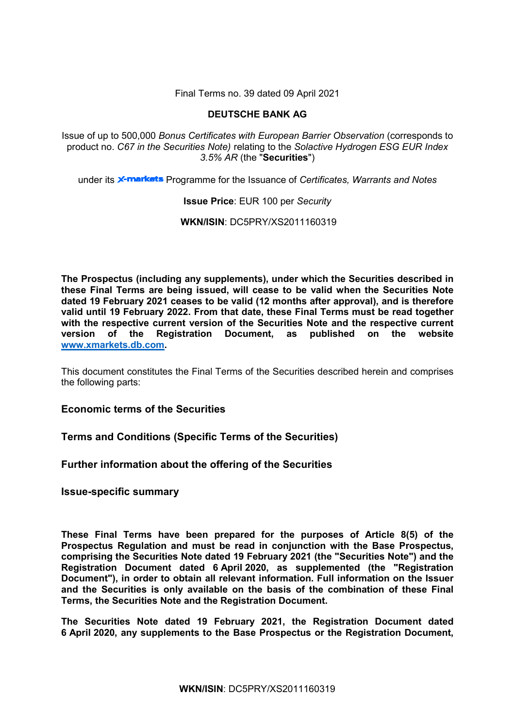Final Terms no. 39 dated 09 April 2021

# **DEUTSCHE BANK AG**

Issue of up to 500,000 *Bonus Certificates with European Barrier Observation* (corresponds to product no. *C67 in the Securities Note)* relating to the *Solactive Hydrogen ESG EUR Index 3.5% AR* (the "**Securities**")

under its **x-markets** Programme for the Issuance of *Certificates, Warrants and Notes* 

# **Issue Price**: EUR 100 per *Security*

**WKN/ISIN**: DC5PRY/XS2011160319

**The Prospectus (including any supplements), under which the Securities described in these Final Terms are being issued, will cease to be valid when the Securities Note dated 19 February 2021 ceases to be valid (12 months after approval), and is therefore valid until 19 February 2022. From that date, these Final Terms must be read together with the respective current version of the Securities Note and the respective current version of the Registration Document, as published on the website [www.xmarkets.db.com.](http://www.xmarkets.db.com/)**

This document constitutes the Final Terms of the Securities described herein and comprises the following parts:

**Economic terms of the Securities**

**Terms and Conditions (Specific Terms of the Securities)**

**Further information about the offering of the Securities**

**Issue-specific summary**

**These Final Terms have been prepared for the purposes of Article 8(5) of the Prospectus Regulation and must be read in conjunction with the Base Prospectus, comprising the Securities Note dated 19 February 2021 (the "Securities Note") and the Registration Document dated 6 April 2020, as supplemented (the "Registration Document"), in order to obtain all relevant information. Full information on the Issuer and the Securities is only available on the basis of the combination of these Final Terms, the Securities Note and the Registration Document.** 

**The Securities Note dated 19 February 2021, the Registration Document dated 6 April 2020, any supplements to the Base Prospectus or the Registration Document,**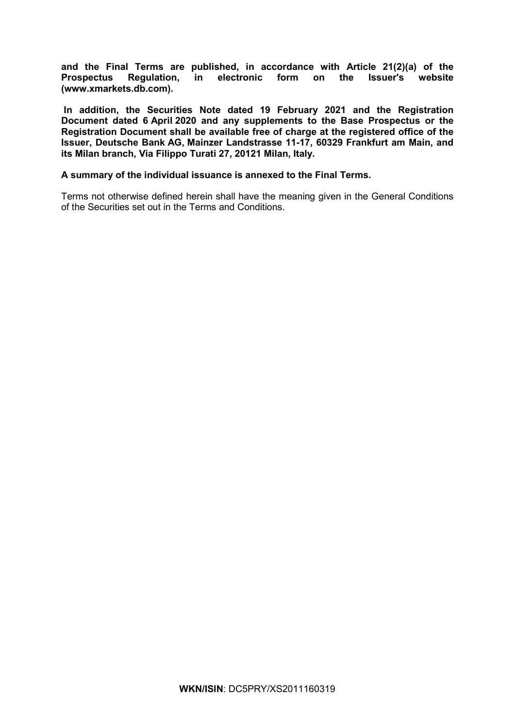**and the Final Terms are published, in accordance with Article 21(2)(a) of the Prospectus Regulation, in electronic form on the Issuer's website [\(www.xmarkets.db.com\)](http://www.xmarkets.db.com/).**

**In addition, the Securities Note dated 19 February 2021 and the Registration Document dated 6 April 2020 and any supplements to the Base Prospectus or the Registration Document shall be available free of charge at the registered office of the Issuer, Deutsche Bank AG, Mainzer Landstrasse 11-17, 60329 Frankfurt am Main, and its Milan branch, Via Filippo Turati 27, 20121 Milan, Italy.**

# **A summary of the individual issuance is annexed to the Final Terms.**

Terms not otherwise defined herein shall have the meaning given in the General Conditions of the Securities set out in the Terms and Conditions.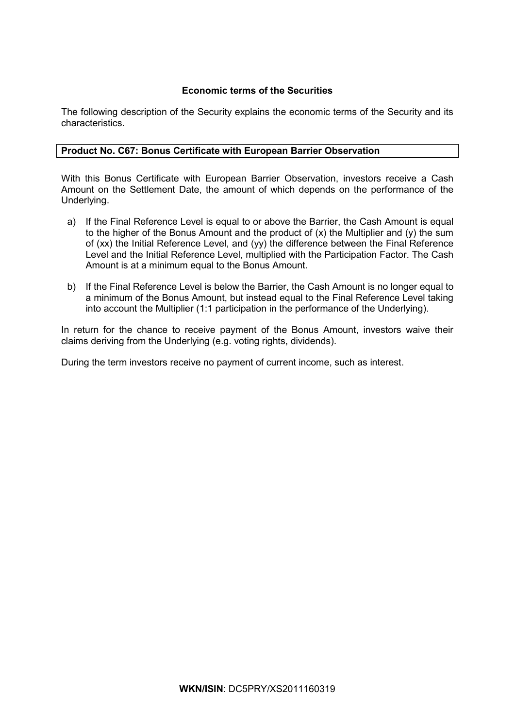# **Economic terms of the Securities**

The following description of the Security explains the economic terms of the Security and its characteristics.

# **Product No. C67: Bonus Certificate with European Barrier Observation**

With this Bonus Certificate with European Barrier Observation, investors receive a Cash Amount on the Settlement Date, the amount of which depends on the performance of the Underlying.

- a) If the Final Reference Level is equal to or above the Barrier, the Cash Amount is equal to the higher of the Bonus Amount and the product of  $(x)$  the Multiplier and  $(y)$  the sum of (xx) the Initial Reference Level, and (yy) the difference between the Final Reference Level and the Initial Reference Level, multiplied with the Participation Factor. The Cash Amount is at a minimum equal to the Bonus Amount.
- b) If the Final Reference Level is below the Barrier, the Cash Amount is no longer equal to a minimum of the Bonus Amount, but instead equal to the Final Reference Level taking into account the Multiplier (1:1 participation in the performance of the Underlying).

In return for the chance to receive payment of the Bonus Amount, investors waive their claims deriving from the Underlying (e.g. voting rights, dividends).

During the term investors receive no payment of current income, such as interest.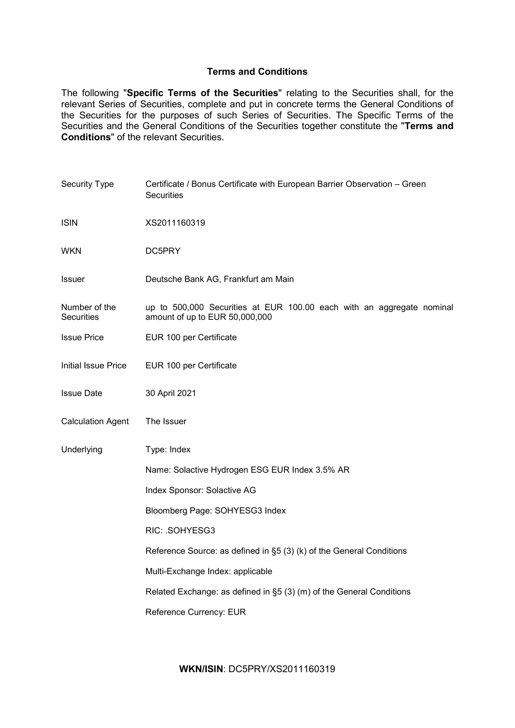# **Terms and Conditions**

The following "**Specific Terms of the Securities**" relating to the Securities shall, for the relevant Series of Securities, complete and put in concrete terms the General Conditions of the Securities for the purposes of such Series of Securities. The Specific Terms of the Securities and the General Conditions of the Securities together constitute the "**Terms and Conditions**" of the relevant Securities.

| Security Type                      | Certificate / Bonus Certificate with European Barrier Observation - Green<br><b>Securities</b>          |  |  |
|------------------------------------|---------------------------------------------------------------------------------------------------------|--|--|
| <b>ISIN</b>                        | XS2011160319                                                                                            |  |  |
| <b>WKN</b>                         | DC5PRY                                                                                                  |  |  |
| <b>Issuer</b>                      | Deutsche Bank AG, Frankfurt am Main                                                                     |  |  |
| Number of the<br><b>Securities</b> | up to 500,000 Securities at EUR 100.00 each with an aggregate nominal<br>amount of up to EUR 50,000,000 |  |  |
| <b>Issue Price</b>                 | EUR 100 per Certificate                                                                                 |  |  |
| Initial Issue Price                | EUR 100 per Certificate                                                                                 |  |  |
| <b>Issue Date</b>                  | 30 April 2021                                                                                           |  |  |
| <b>Calculation Agent</b>           | The Issuer                                                                                              |  |  |
| Underlying                         | Type: Index                                                                                             |  |  |
|                                    | Name: Solactive Hydrogen ESG EUR Index 3.5% AR                                                          |  |  |
|                                    | Index Sponsor: Solactive AG                                                                             |  |  |
|                                    | Bloomberg Page: SOHYESG3 Index                                                                          |  |  |
|                                    | RIC: .SOHYESG3                                                                                          |  |  |
|                                    | Reference Source: as defined in §5 (3) (k) of the General Conditions                                    |  |  |
|                                    | Multi-Exchange Index: applicable                                                                        |  |  |
|                                    | Related Exchange: as defined in §5 (3) (m) of the General Conditions                                    |  |  |
|                                    | Reference Currency: EUR                                                                                 |  |  |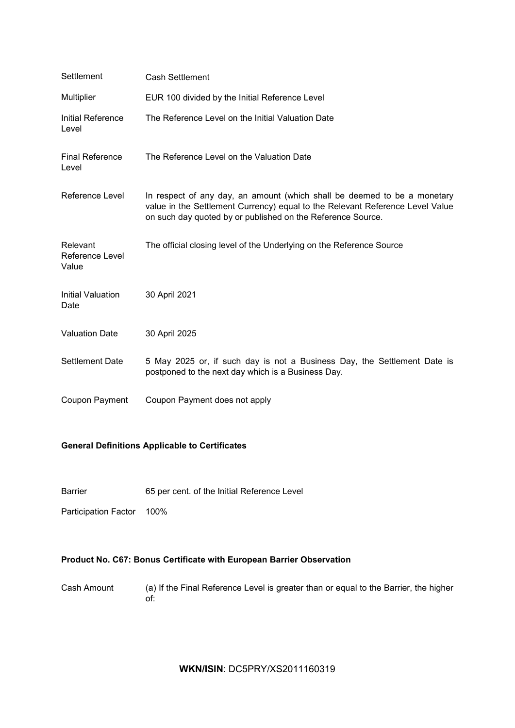| Settlement                           | <b>Cash Settlement</b>                                                                                                                                                                                                   |
|--------------------------------------|--------------------------------------------------------------------------------------------------------------------------------------------------------------------------------------------------------------------------|
| Multiplier                           | EUR 100 divided by the Initial Reference Level                                                                                                                                                                           |
| Initial Reference<br>Level           | The Reference Level on the Initial Valuation Date                                                                                                                                                                        |
| <b>Final Reference</b><br>Level      | The Reference Level on the Valuation Date                                                                                                                                                                                |
| <b>Reference Level</b>               | In respect of any day, an amount (which shall be deemed to be a monetary<br>value in the Settlement Currency) equal to the Relevant Reference Level Value<br>on such day quoted by or published on the Reference Source. |
| Relevant<br>Reference Level<br>Value | The official closing level of the Underlying on the Reference Source                                                                                                                                                     |
| Initial Valuation<br>Date            | 30 April 2021                                                                                                                                                                                                            |
| <b>Valuation Date</b>                | 30 April 2025                                                                                                                                                                                                            |
| <b>Settlement Date</b>               | 5 May 2025 or, if such day is not a Business Day, the Settlement Date is<br>postponed to the next day which is a Business Day.                                                                                           |
| Coupon Payment                       | Coupon Payment does not apply                                                                                                                                                                                            |

# **General Definitions Applicable to Certificates**

Barrier 65 per cent. of the Initial Reference Level

Participation Factor 100%

# **Product No. C67: Bonus Certificate with European Barrier Observation**

Cash Amount (a) If the Final Reference Level is greater than or equal to the Barrier, the higher of:

**WKN/ISIN**: DC5PRY/XS2011160319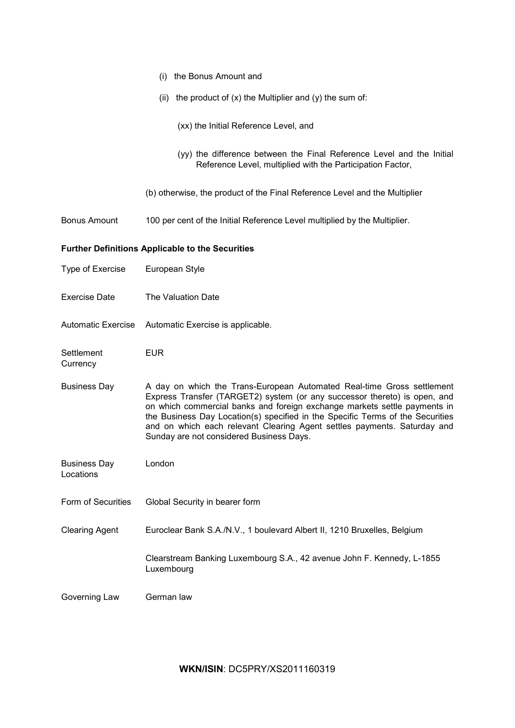|                                  | (i) the Bonus Amount and                                                                                                                                                                                                                                                                                                                                                                                                                   |
|----------------------------------|--------------------------------------------------------------------------------------------------------------------------------------------------------------------------------------------------------------------------------------------------------------------------------------------------------------------------------------------------------------------------------------------------------------------------------------------|
|                                  | (ii) the product of $(x)$ the Multiplier and $(y)$ the sum of:                                                                                                                                                                                                                                                                                                                                                                             |
|                                  | (xx) the Initial Reference Level, and                                                                                                                                                                                                                                                                                                                                                                                                      |
|                                  | (yy) the difference between the Final Reference Level and the Initial<br>Reference Level, multiplied with the Participation Factor,                                                                                                                                                                                                                                                                                                        |
|                                  | (b) otherwise, the product of the Final Reference Level and the Multiplier                                                                                                                                                                                                                                                                                                                                                                 |
| <b>Bonus Amount</b>              | 100 per cent of the Initial Reference Level multiplied by the Multiplier.                                                                                                                                                                                                                                                                                                                                                                  |
|                                  | <b>Further Definitions Applicable to the Securities</b>                                                                                                                                                                                                                                                                                                                                                                                    |
| Type of Exercise                 | European Style                                                                                                                                                                                                                                                                                                                                                                                                                             |
| <b>Exercise Date</b>             | The Valuation Date                                                                                                                                                                                                                                                                                                                                                                                                                         |
| <b>Automatic Exercise</b>        | Automatic Exercise is applicable.                                                                                                                                                                                                                                                                                                                                                                                                          |
|                                  |                                                                                                                                                                                                                                                                                                                                                                                                                                            |
| Settlement<br>Currency           | <b>EUR</b>                                                                                                                                                                                                                                                                                                                                                                                                                                 |
| <b>Business Day</b>              | A day on which the Trans-European Automated Real-time Gross settlement<br>Express Transfer (TARGET2) system (or any successor thereto) is open, and<br>on which commercial banks and foreign exchange markets settle payments in<br>the Business Day Location(s) specified in the Specific Terms of the Securities<br>and on which each relevant Clearing Agent settles payments. Saturday and<br>Sunday are not considered Business Days. |
| <b>Business Day</b><br>Locations | London                                                                                                                                                                                                                                                                                                                                                                                                                                     |
| Form of Securities               | Global Security in bearer form                                                                                                                                                                                                                                                                                                                                                                                                             |
| <b>Clearing Agent</b>            | Euroclear Bank S.A./N.V., 1 boulevard Albert II, 1210 Bruxelles, Belgium                                                                                                                                                                                                                                                                                                                                                                   |
|                                  | Clearstream Banking Luxembourg S.A., 42 avenue John F. Kennedy, L-1855<br>Luxembourg                                                                                                                                                                                                                                                                                                                                                       |

**WKN/ISIN**: DC5PRY/XS2011160319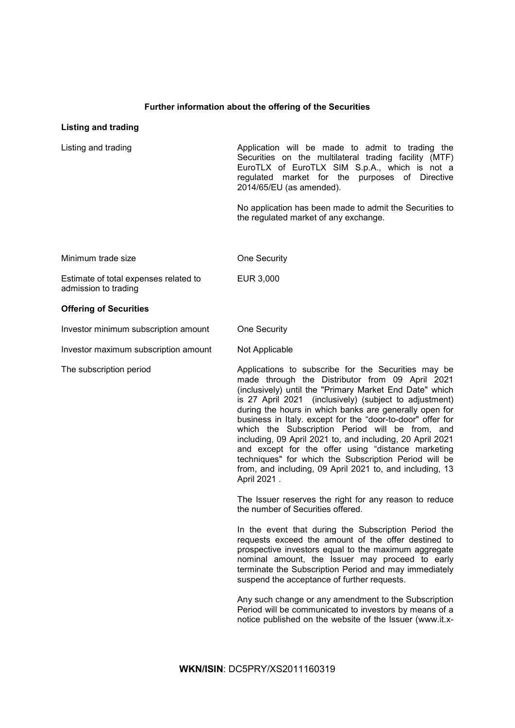# **Further information about the offering of the Securities**

# **Listing and trading**

| Listing and trading                                           | Application will be made to admit to trading the<br>Securities on the multilateral trading facility (MTF)<br>EuroTLX of EuroTLX SIM S.p.A., which is not a<br>regulated market for the purposes of Directive<br>2014/65/EU (as amended).                                                                                                                                                                                                                                                                                                                                                                                                                      |
|---------------------------------------------------------------|---------------------------------------------------------------------------------------------------------------------------------------------------------------------------------------------------------------------------------------------------------------------------------------------------------------------------------------------------------------------------------------------------------------------------------------------------------------------------------------------------------------------------------------------------------------------------------------------------------------------------------------------------------------|
|                                                               | No application has been made to admit the Securities to<br>the regulated market of any exchange.                                                                                                                                                                                                                                                                                                                                                                                                                                                                                                                                                              |
| Minimum trade size                                            | One Security                                                                                                                                                                                                                                                                                                                                                                                                                                                                                                                                                                                                                                                  |
| Estimate of total expenses related to<br>admission to trading | EUR 3,000                                                                                                                                                                                                                                                                                                                                                                                                                                                                                                                                                                                                                                                     |
| <b>Offering of Securities</b>                                 |                                                                                                                                                                                                                                                                                                                                                                                                                                                                                                                                                                                                                                                               |
| Investor minimum subscription amount                          | One Security                                                                                                                                                                                                                                                                                                                                                                                                                                                                                                                                                                                                                                                  |
| Investor maximum subscription amount                          | Not Applicable                                                                                                                                                                                                                                                                                                                                                                                                                                                                                                                                                                                                                                                |
| The subscription period                                       | Applications to subscribe for the Securities may be<br>made through the Distributor from 09 April 2021<br>(inclusively) until the "Primary Market End Date" which<br>is 27 April 2021 (inclusively) (subject to adjustment)<br>during the hours in which banks are generally open for<br>business in Italy. except for the "door-to-door" offer for<br>which the Subscription Period will be from, and<br>including, 09 April 2021 to, and including, 20 April 2021<br>and except for the offer using "distance marketing<br>techniques" for which the Subscription Period will be<br>from, and including, 09 April 2021 to, and including, 13<br>April 2021. |
|                                                               | The Issuer reserves the right for any reason to reduce<br>the number of Securities offered.                                                                                                                                                                                                                                                                                                                                                                                                                                                                                                                                                                   |
|                                                               | In the event that during the Subscription Period the<br>requests exceed the amount of the offer destined to<br>prospective investors equal to the maximum aggregate<br>nominal amount, the Issuer may proceed to early<br>terminate the Subscription Period and may immediately<br>suspend the acceptance of further requests.                                                                                                                                                                                                                                                                                                                                |
|                                                               | Any such change or any amendment to the Subscription<br>Period will be communicated to investors by means of a<br>notice published on the website of the Issuer (www.it.x-                                                                                                                                                                                                                                                                                                                                                                                                                                                                                    |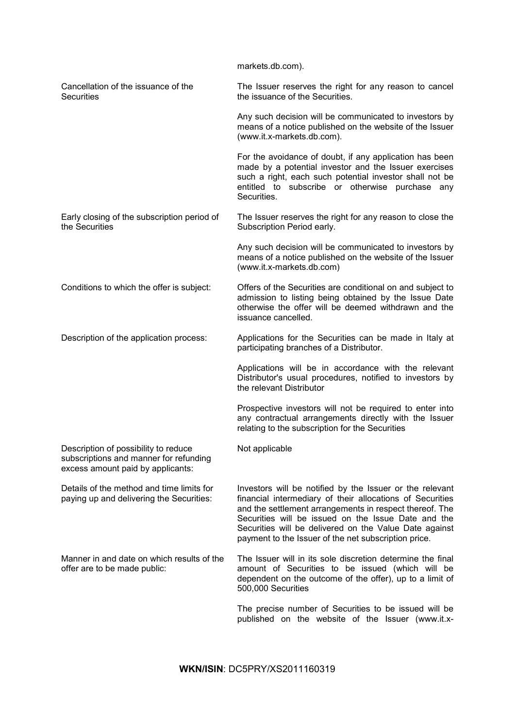[markets.db.com\)](http://www.it.x-markets.db.com)/).

Cancellation of the issuance of the **Securities** The Issuer reserves the right for any reason to cancel the issuance of the Securities.

> Any such decision will be communicated to investors by means of a notice published on the website of the Issuer (www.it.x-markets.db.com).

> For the avoidance of doubt, if any application has been made by a potential investor and the Issuer exercises such a right, each such potential investor shall not be entitled to subscribe or otherwise purchase any Securities.

Early closing of the subscription period of the Securities The Issuer reserves the right for any reason to close the Subscription Period early.

> Any such decision will be communicated to investors by means of a notice published on the website of the Issuer (www.it.x-markets.db.com)

Conditions to which the offer is subject: Offers of the Securities are conditional on and subject to admission to listing being obtained by the Issue Date otherwise the offer will be deemed withdrawn and the issuance cancelled.

Description of the application process: Applications for the Securities can be made in Italy at participating branches of a Distributor.

Not applicable

Applications will be in accordance with the relevant Distributor's usual procedures, notified to investors by the relevant Distributor

Prospective investors will not be required to enter into any contractual arrangements directly with the Issuer relating to the subscription for the Securities

Description of possibility to reduce subscriptions and manner for refunding excess amount paid by applicants:

Details of the method and time limits for paying up and delivering the Securities:

Manner in and date on which results of the offer are to be made public:

Investors will be notified by the Issuer or the relevant financial intermediary of their allocations of Securities and the settlement arrangements in respect thereof. The Securities will be issued on the Issue Date and the Securities will be delivered on the Value Date against payment to the Issuer of the net subscription price.

The Issuer will in its sole discretion determine the final amount of Securities to be issued (which will be dependent on the outcome of the offer), up to a limit of 500,000 Securities

The precise number of Securities to be issued will be published on the website of the Issuer (www.it.x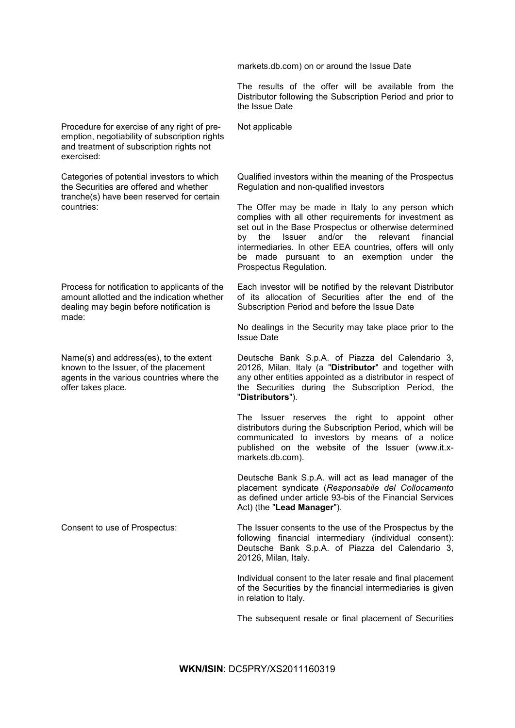markets.db.com) on or around the Issue Date

The results of the offer will be available from the Distributor following the Subscription Period and prior to the Issue Date

Procedure for exercise of any right of preemption, negotiability of subscription rights and treatment of subscription rights not exercised:

Categories of potential investors to which the Securities are offered and whether tranche(s) have been reserved for certain countries:

Process for notification to applicants of the amount allotted and the indication whether dealing may begin before notification is made:

Name(s) and address(es), to the extent known to the Issuer, of the placement agents in the various countries where the offer takes place.

Not applicable

Qualified investors within the meaning of the Prospectus Regulation and non-qualified investors

The Offer may be made in Italy to any person which complies with all other requirements for investment as set out in the Base Prospectus or otherwise determined by the Issuer and/or the relevant financial intermediaries. In other EEA countries, offers will only be made pursuant to an exemption under the Prospectus Regulation.

Each investor will be notified by the relevant Distributor of its allocation of Securities after the end of the Subscription Period and before the Issue Date

No dealings in the Security may take place prior to the Issue Date

Deutsche Bank S.p.A. of Piazza del Calendario 3, 20126, Milan, Italy (a "**Distributor**" and together with any other entities appointed as a distributor in respect of the Securities during the Subscription Period, the "**Distributors**").

The Issuer reserves the right to appoint other distributors during the Subscription Period, which will be communicated to investors by means of a notice published on the website of the Issuer (www.it.xmarkets.db.com).

Deutsche Bank S.p.A. will act as lead manager of the placement syndicate (*Responsabile del Collocamento*  as defined under article 93-bis of the Financial Services Act) (the "**Lead Manager**").

Consent to use of Prospectus: The Issuer consents to the use of the Prospectus by the following financial intermediary (individual consent): Deutsche Bank S.p.A. of Piazza del Calendario 3, 20126, Milan, Italy.

> Individual consent to the later resale and final placement of the Securities by the financial intermediaries is given in relation to Italy.

> The subsequent resale or final placement of Securities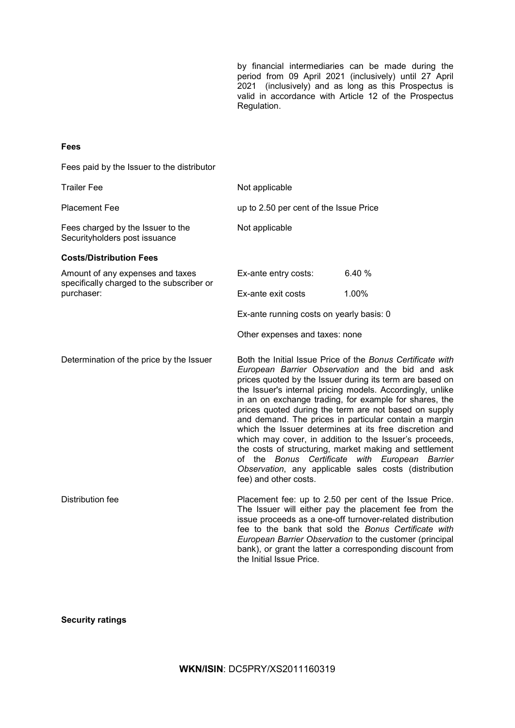by financial intermediaries can be made during the period from 09 April 2021 (inclusively) until 27 April 2021 (inclusively) and as long as this Prospectus is valid in accordance with Article 12 of the Prospectus Regulation.

# **Fees**

Fees paid by the Issuer to the distributor

| <b>Trailer Fee</b>                                                            | Not applicable                           |                                                                                                                                                                                                                                                                                                                                                                                                                                                                                                                                                                                                                                                                                                              |
|-------------------------------------------------------------------------------|------------------------------------------|--------------------------------------------------------------------------------------------------------------------------------------------------------------------------------------------------------------------------------------------------------------------------------------------------------------------------------------------------------------------------------------------------------------------------------------------------------------------------------------------------------------------------------------------------------------------------------------------------------------------------------------------------------------------------------------------------------------|
| <b>Placement Fee</b>                                                          | up to 2.50 per cent of the Issue Price   |                                                                                                                                                                                                                                                                                                                                                                                                                                                                                                                                                                                                                                                                                                              |
| Fees charged by the Issuer to the<br>Securityholders post issuance            | Not applicable                           |                                                                                                                                                                                                                                                                                                                                                                                                                                                                                                                                                                                                                                                                                                              |
| <b>Costs/Distribution Fees</b>                                                |                                          |                                                                                                                                                                                                                                                                                                                                                                                                                                                                                                                                                                                                                                                                                                              |
| Amount of any expenses and taxes<br>specifically charged to the subscriber or | Ex-ante entry costs:                     | 6.40 %                                                                                                                                                                                                                                                                                                                                                                                                                                                                                                                                                                                                                                                                                                       |
| purchaser:                                                                    | Ex-ante exit costs                       | 1.00%                                                                                                                                                                                                                                                                                                                                                                                                                                                                                                                                                                                                                                                                                                        |
|                                                                               | Ex-ante running costs on yearly basis: 0 |                                                                                                                                                                                                                                                                                                                                                                                                                                                                                                                                                                                                                                                                                                              |
|                                                                               | Other expenses and taxes: none           |                                                                                                                                                                                                                                                                                                                                                                                                                                                                                                                                                                                                                                                                                                              |
| Determination of the price by the Issuer                                      | fee) and other costs.                    | Both the Initial Issue Price of the Bonus Certificate with<br>European Barrier Observation and the bid and ask<br>prices quoted by the Issuer during its term are based on<br>the Issuer's internal pricing models. Accordingly, unlike<br>in an on exchange trading, for example for shares, the<br>prices quoted during the term are not based on supply<br>and demand. The prices in particular contain a margin<br>which the Issuer determines at its free discretion and<br>which may cover, in addition to the Issuer's proceeds,<br>the costs of structuring, market making and settlement<br>of the Bonus Certificate with European Barrier<br>Observation, any applicable sales costs (distribution |
| Distribution fee                                                              | the Initial Issue Price.                 | Placement fee: up to 2.50 per cent of the Issue Price.<br>The Issuer will either pay the placement fee from the<br>issue proceeds as a one-off turnover-related distribution<br>fee to the bank that sold the Bonus Certificate with<br>European Barrier Observation to the customer (principal<br>bank), or grant the latter a corresponding discount from                                                                                                                                                                                                                                                                                                                                                  |

# **Security ratings**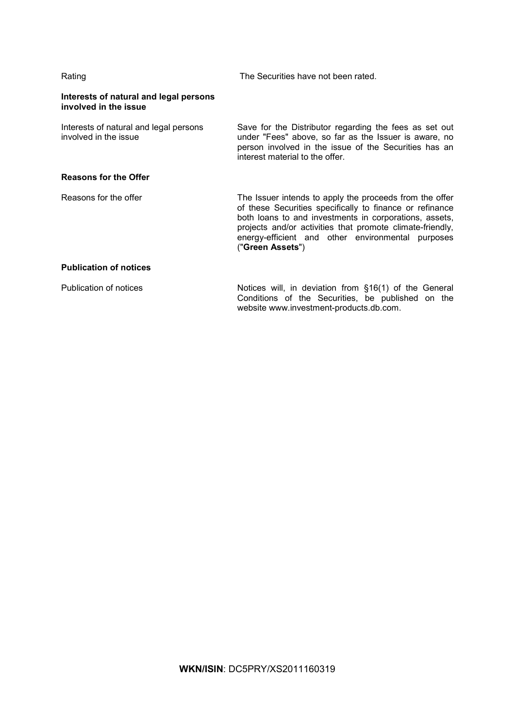| Rating                                                          | The Securities have not been rated.                                                                                                                                                                                                                                                                                 |
|-----------------------------------------------------------------|---------------------------------------------------------------------------------------------------------------------------------------------------------------------------------------------------------------------------------------------------------------------------------------------------------------------|
| Interests of natural and legal persons<br>involved in the issue |                                                                                                                                                                                                                                                                                                                     |
| Interests of natural and legal persons<br>involved in the issue | Save for the Distributor regarding the fees as set out<br>under "Fees" above, so far as the Issuer is aware, no<br>person involved in the issue of the Securities has an<br>interest material to the offer.                                                                                                         |
| <b>Reasons for the Offer</b>                                    |                                                                                                                                                                                                                                                                                                                     |
| Reasons for the offer                                           | The Issuer intends to apply the proceeds from the offer<br>of these Securities specifically to finance or refinance<br>both loans to and investments in corporations, assets,<br>projects and/or activities that promote climate-friendly,<br>energy-efficient and other environmental purposes<br>("Green Assets") |
| <b>Publication of notices</b>                                   |                                                                                                                                                                                                                                                                                                                     |
| <b>Publication of notices</b>                                   | Notices will, in deviation from §16(1) of the General<br>Conditions of the Securities, be published on the<br>website www.investment-products.db.com.                                                                                                                                                               |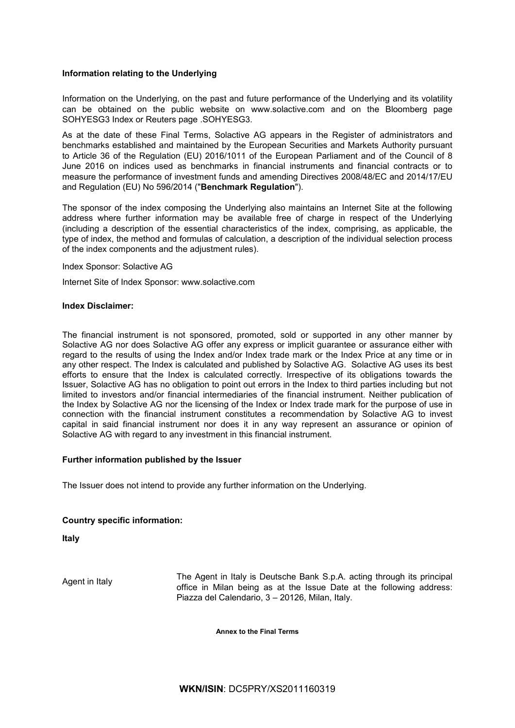# **Information relating to the Underlying**

Information on the Underlying, on the past and future performance of the Underlying and its volatility can be obtained on the public website on www.solactive.com and on the Bloomberg page SOHYESG3 Index or Reuters page .SOHYESG3.

As at the date of these Final Terms, Solactive AG appears in the Register of administrators and benchmarks established and maintained by the European Securities and Markets Authority pursuant to Article 36 of the Regulation (EU) 2016/1011 of the European Parliament and of the Council of 8 June 2016 on indices used as benchmarks in financial instruments and financial contracts or to measure the performance of investment funds and amending Directives 2008/48/EC and 2014/17/EU and Regulation (EU) No 596/2014 ("**Benchmark Regulation**").

The sponsor of the index composing the Underlying also maintains an Internet Site at the following address where further information may be available free of charge in respect of the Underlying (including a description of the essential characteristics of the index, comprising, as applicable, the type of index, the method and formulas of calculation, a description of the individual selection process of the index components and the adjustment rules).

Index Sponsor: Solactive AG

Internet Site of Index Sponsor: www.solactive.com

# **Index Disclaimer:**

The financial instrument is not sponsored, promoted, sold or supported in any other manner by Solactive AG nor does Solactive AG offer any express or implicit guarantee or assurance either with regard to the results of using the Index and/or Index trade mark or the Index Price at any time or in any other respect. The Index is calculated and published by Solactive AG. Solactive AG uses its best efforts to ensure that the Index is calculated correctly. Irrespective of its obligations towards the Issuer, Solactive AG has no obligation to point out errors in the Index to third parties including but not limited to investors and/or financial intermediaries of the financial instrument. Neither publication of the Index by Solactive AG nor the licensing of the Index or Index trade mark for the purpose of use in connection with the financial instrument constitutes a recommendation by Solactive AG to invest capital in said financial instrument nor does it in any way represent an assurance or opinion of Solactive AG with regard to any investment in this financial instrument.

# **Further information published by the Issuer**

The Issuer does not intend to provide any further information on the Underlying.

# **Country specific information:**

**Italy**

Agent in Italy The Agent in Italy is Deutsche Bank S.p.A. acting through its principal<br>
Agent in Italy is the latter than the following address office in Milan being as at the Issue Date at the following address: Piazza del Calendario, 3 – 20126, Milan, Italy.

**Annex to the Final Terms**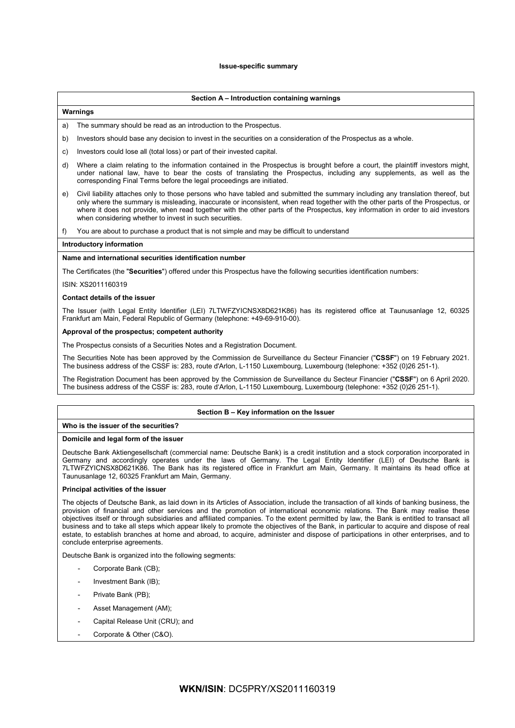## **Issue-specific summary**

# **Section A – Introduction containing warnings**

# **Warnings**

- a) The summary should be read as an introduction to the Prospectus.
- b) Investors should base any decision to invest in the securities on a consideration of the Prospectus as a whole.
- c) Investors could lose all (total loss) or part of their invested capital.
- d) Where a claim relating to the information contained in the Prospectus is brought before a court, the plaintiff investors might, under national law, have to bear the costs of translating the Prospectus, including any supplements, as well as the corresponding Final Terms before the legal proceedings are initiated.
- e) Civil liability attaches only to those persons who have tabled and submitted the summary including any translation thereof, but only where the summary is misleading, inaccurate or inconsistent, when read together with the other parts of the Prospectus, or where it does not provide, when read together with the other parts of the Prospectus, key information in order to aid investors when considering whether to invest in such securities.
- f) You are about to purchase a product that is not simple and may be difficult to understand

#### **Introductory information**

#### **Name and international securities identification number**

The Certificates (the "**Securities**") offered under this Prospectus have the following securities identification numbers:

#### ISIN: XS2011160319

# **Contact details of the issuer**

The Issuer (with Legal Entity Identifier (LEI) 7LTWFZYICNSX8D621K86) has its registered office at Taunusanlage 12, 60325 Frankfurt am Main, Federal Republic of Germany (telephone: +49-69-910-00).

# **Approval of the prospectus; competent authority**

The Prospectus consists of a Securities Notes and a Registration Document.

The Securities Note has been approved by the Commission de Surveillance du Secteur Financier ("**CSSF**") on 19 February 2021. The business address of the CSSF is: 283, route d'Arlon, L-1150 Luxembourg, Luxembourg (telephone: +352 (0)26 251-1).

The Registration Document has been approved by the Commission de Surveillance du Secteur Financier ("**CSSF**") on 6 April 2020. The business address of the CSSF is: 283, route d'Arlon, L-1150 Luxembourg, Luxembourg (telephone: +352 (0)26 251-1).

# **Section B – Key information on the Issuer**

## **Who is the issuer of the securities?**

#### **Domicile and legal form of the issuer**

Deutsche Bank Aktiengesellschaft (commercial name: Deutsche Bank) is a credit institution and a stock corporation incorporated in Germany and accordingly operates under the laws of Germany. The Legal Entity Identifier (LEI) of Deutsche Bank is 7LTWFZYICNSX8D621K86. The Bank has its registered office in Frankfurt am Main, Germany. It maintains its head office at Taunusanlage 12, 60325 Frankfurt am Main, Germany.

# **Principal activities of the issuer**

The objects of Deutsche Bank, as laid down in its Articles of Association, include the transaction of all kinds of banking business, the provision of financial and other services and the promotion of international economic relations. The Bank may realise these objectives itself or through subsidiaries and affiliated companies. To the extent permitted by law, the Bank is entitled to transact all business and to take all steps which appear likely to promote the objectives of the Bank, in particular to acquire and dispose of real estate, to establish branches at home and abroad, to acquire, administer and dispose of participations in other enterprises, and to conclude enterprise agreements.

Deutsche Bank is organized into the following segments:

- Corporate Bank (CB):
- Investment Bank (IB);
- Private Bank (PB);
- Asset Management (AM);
- Capital Release Unit (CRU); and
- Corporate & Other (C&O).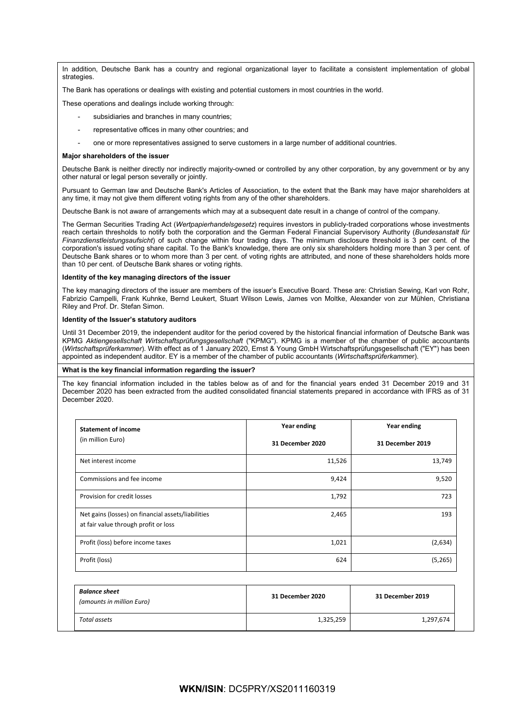In addition, Deutsche Bank has a country and regional organizational layer to facilitate a consistent implementation of global strategies

The Bank has operations or dealings with existing and potential customers in most countries in the world.

These operations and dealings include working through:

- subsidiaries and branches in many countries;
- representative offices in many other countries; and
- one or more representatives assigned to serve customers in a large number of additional countries.

#### **Major shareholders of the issuer**

Deutsche Bank is neither directly nor indirectly majority-owned or controlled by any other corporation, by any government or by any other natural or legal person severally or jointly.

Pursuant to German law and Deutsche Bank's Articles of Association, to the extent that the Bank may have major shareholders at any time, it may not give them different voting rights from any of the other shareholders.

Deutsche Bank is not aware of arrangements which may at a subsequent date result in a change of control of the company.

The German Securities Trading Act (*Wertpapierhandelsgesetz*) requires investors in publicly-traded corporations whose investments reach certain thresholds to notify both the corporation and the German Federal Financial Supervisory Authority (*Bundesanstalt für Finanzdienstleistungsaufsicht*) of such change within four trading days. The minimum disclosure threshold is 3 per cent. of the corporation's issued voting share capital. To the Bank's knowledge, there are only six shareholders holding more than 3 per cent. of Deutsche Bank shares or to whom more than 3 per cent. of voting rights are attributed, and none of these shareholders holds more than 10 per cent. of Deutsche Bank shares or voting rights.

# **Identity of the key managing directors of the issuer**

The key managing directors of the issuer are members of the issuer's Executive Board. These are: Christian Sewing, Karl von Rohr, Fabrizio Campelli, Frank Kuhnke, Bernd Leukert, Stuart Wilson Lewis, James von Moltke, Alexander von zur Mühlen, Christiana Riley and Prof. Dr. Stefan Simon.

#### **Identity of the Issuer's statutory auditors**

Until 31 December 2019, the independent auditor for the period covered by the historical financial information of Deutsche Bank was KPMG *Aktiengesellschaft Wirtschaftsprüfungsgesellschaft* ("KPMG"). KPMG is a member of the chamber of public accountants (*Wirtschaftsprüferkammer*). With effect as of 1 January 2020, Ernst & Young GmbH Wirtschaftsprüfungsgesellschaft ("EY") has been appointed as independent auditor. EY is a member of the chamber of public accountants (*Wirtschaftsprüferkamme*r).

#### **What is the key financial information regarding the issuer?**

The key financial information included in the tables below as of and for the financial years ended 31 December 2019 and 31 December 2020 has been extracted from the audited consolidated financial statements prepared in accordance with IFRS as of 31 December 2020.

| <b>Statement of income</b>                                                                 | Year ending      | Year ending      |
|--------------------------------------------------------------------------------------------|------------------|------------------|
| (in million Euro)                                                                          | 31 December 2020 | 31 December 2019 |
| Net interest income                                                                        | 11,526           | 13,749           |
| Commissions and fee income                                                                 | 9,424            | 9,520            |
| Provision for credit losses                                                                | 1,792            | 723              |
| Net gains (losses) on financial assets/liabilities<br>at fair value through profit or loss | 2,465            | 193              |
| Profit (loss) before income taxes                                                          | 1,021            | (2,634)          |
| Profit (loss)                                                                              | 624              | (5,265)          |

| <b>Balance sheet</b><br>(amounts in million Euro) | 31 December 2020 | 31 December 2019 |
|---------------------------------------------------|------------------|------------------|
| Total assets                                      | 1,325,259        | 1,297,674        |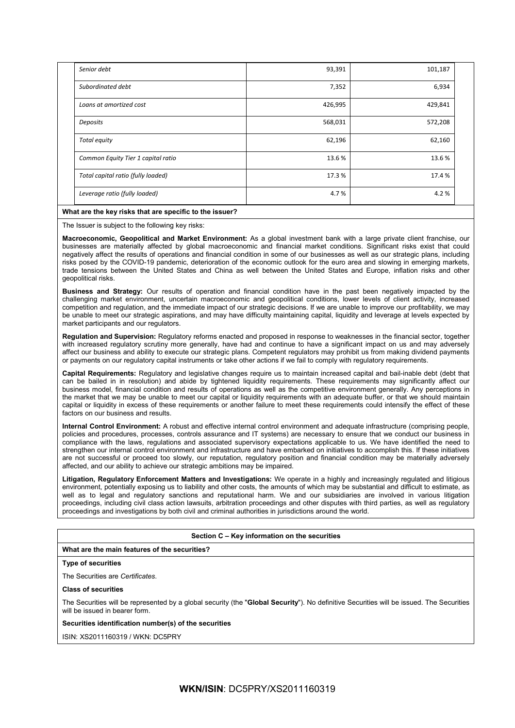| Senior debt                        | 93,391  | 101,187 |  |
|------------------------------------|---------|---------|--|
| Subordinated debt                  | 7,352   | 6,934   |  |
| Loans at amortized cost            | 426,995 | 429,841 |  |
| Deposits                           | 568,031 | 572,208 |  |
| Total equity                       | 62,196  | 62,160  |  |
| Common Equity Tier 1 capital ratio | 13.6%   | 13.6%   |  |
| Total capital ratio (fully loaded) | 17.3%   | 17.4 %  |  |
| Leverage ratio (fully loaded)      | 4.7%    | 4.2%    |  |

# **What are the key risks that are specific to the issuer?**

The Issuer is subject to the following key risks:

**Macroeconomic, Geopolitical and Market Environment:** As a global investment bank with a large private client franchise, our businesses are materially affected by global macroeconomic and financial market conditions. Significant risks exist that could negatively affect the results of operations and financial condition in some of our businesses as well as our strategic plans, including risks posed by the COVID-19 pandemic, deterioration of the economic outlook for the euro area and slowing in emerging markets, trade tensions between the United States and China as well between the United States and Europe, inflation risks and other geopolitical risks.

**Business and Strategy:** Our results of operation and financial condition have in the past been negatively impacted by the challenging market environment, uncertain macroeconomic and geopolitical conditions, lower levels of client activity, increased competition and regulation, and the immediate impact of our strategic decisions. If we are unable to improve our profitability, we may be unable to meet our strategic aspirations, and may have difficulty maintaining capital, liquidity and leverage at levels expected by market participants and our regulators.

**Regulation and Supervision:** Regulatory reforms enacted and proposed in response to weaknesses in the financial sector, together with increased regulatory scrutiny more generally, have had and continue to have a significant impact on us and may adversely affect our business and ability to execute our strategic plans. Competent regulators may prohibit us from making dividend payments or payments on our regulatory capital instruments or take other actions if we fail to comply with regulatory requirements.

**Capital Requirements:** Regulatory and legislative changes require us to maintain increased capital and bail-inable debt (debt that can be bailed in in resolution) and abide by tightened liquidity requirements. These requirements may significantly affect our business model, financial condition and results of operations as well as the competitive environment generally. Any perceptions in the market that we may be unable to meet our capital or liquidity requirements with an adequate buffer, or that we should maintain capital or liquidity in excess of these requirements or another failure to meet these requirements could intensify the effect of these factors on our business and results.

**Internal Control Environment:** A robust and effective internal control environment and adequate infrastructure (comprising people, policies and procedures, processes, controls assurance and IT systems) are necessary to ensure that we conduct our business in compliance with the laws, regulations and associated supervisory expectations applicable to us. We have identified the need to strengthen our internal control environment and infrastructure and have embarked on initiatives to accomplish this. If these initiatives are not successful or proceed too slowly, our reputation, regulatory position and financial condition may be materially adversely affected, and our ability to achieve our strategic ambitions may be impaired.

**Litigation, Regulatory Enforcement Matters and Investigations:** We operate in a highly and increasingly regulated and litigious environment, potentially exposing us to liability and other costs, the amounts of which may be substantial and difficult to estimate, as well as to legal and regulatory sanctions and reputational harm. We and our subsidiaries are involved in various litigation proceedings, including civil class action lawsuits, arbitration proceedings and other disputes with third parties, as well as regulatory proceedings and investigations by both civil and criminal authorities in jurisdictions around the world.

# **Section C – Key information on the securities**

# **What are the main features of the securities?**

# **Type of securities**

The Securities are *Certificates*.

# **Class of securities**

The Securities will be represented by a global security (the "**Global Security**"). No definitive Securities will be issued. The Securities will be issued in bearer form.

# **Securities identification number(s) of the securities**

ISIN: XS2011160319 / WKN: DC5PRY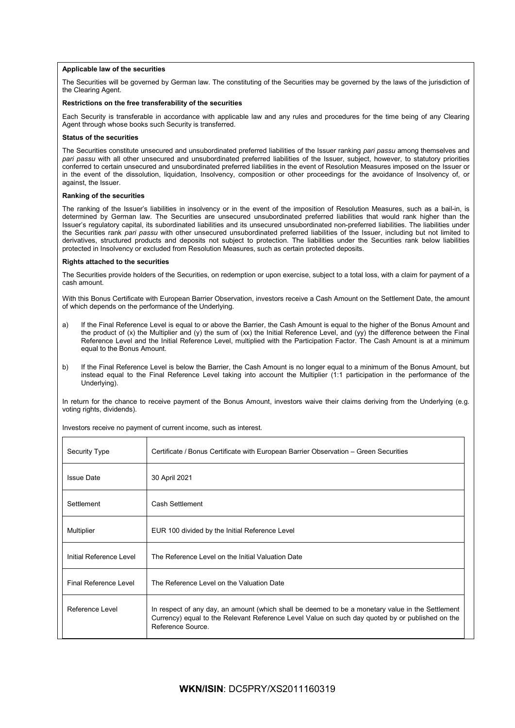# **Applicable law of the securities**

The Securities will be governed by German law. The constituting of the Securities may be governed by the laws of the jurisdiction of the Clearing Agent.

#### **Restrictions on the free transferability of the securities**

Each Security is transferable in accordance with applicable law and any rules and procedures for the time being of any Clearing Agent through whose books such Security is transferred.

#### **Status of the securities**

The Securities constitute unsecured and unsubordinated preferred liabilities of the Issuer ranking *pari passu* among themselves and *pari passu* with all other unsecured and unsubordinated preferred liabilities of the Issuer, subject, however, to statutory priorities conferred to certain unsecured and unsubordinated preferred liabilities in the event of Resolution Measures imposed on the Issuer or in the event of the dissolution, liquidation, Insolvency, composition or other proceedings for the avoidance of Insolvency of, or against, the Issuer.

#### **Ranking of the securities**

The ranking of the Issuer's liabilities in insolvency or in the event of the imposition of Resolution Measures, such as a bail-in, is determined by German law. The Securities are unsecured unsubordinated preferred liabilities that would rank higher than the Issuer's regulatory capital, its subordinated liabilities and its unsecured unsubordinated non-preferred liabilities. The liabilities under the Securities rank *pari passu* with other unsecured unsubordinated preferred liabilities of the Issuer, including but not limited to derivatives, structured products and deposits not subject to protection. The liabilities under the Securities rank below liabilities protected in Insolvency or excluded from Resolution Measures, such as certain protected deposits.

#### **Rights attached to the securities**

The Securities provide holders of the Securities, on redemption or upon exercise, subject to a total loss, with a claim for payment of a cash amount.

With this Bonus Certificate with European Barrier Observation, investors receive a Cash Amount on the Settlement Date, the amount of which depends on the performance of the Underlying.

- a) If the Final Reference Level is equal to or above the Barrier, the Cash Amount is equal to the higher of the Bonus Amount and the product of (x) the Multiplier and (y) the sum of (xx) the Initial Reference Level, and (yy) the difference between the Final Reference Level and the Initial Reference Level, multiplied with the Participation Factor. The Cash Amount is at a minimum equal to the Bonus Amount.
- b) If the Final Reference Level is below the Barrier, the Cash Amount is no longer equal to a minimum of the Bonus Amount, but instead equal to the Final Reference Level taking into account the Multiplier (1:1 participation in the performance of the Underlying).

In return for the chance to receive payment of the Bonus Amount, investors waive their claims deriving from the Underlying (e.g. voting rights, dividends).

| <b>Security Type</b>    | Certificate / Bonus Certificate with European Barrier Observation – Green Securities                                                                                                                                     |
|-------------------------|--------------------------------------------------------------------------------------------------------------------------------------------------------------------------------------------------------------------------|
| <b>Issue Date</b>       | 30 April 2021                                                                                                                                                                                                            |
| Settlement              | Cash Settlement                                                                                                                                                                                                          |
| Multiplier              | EUR 100 divided by the Initial Reference Level                                                                                                                                                                           |
| Initial Reference Level | The Reference Level on the Initial Valuation Date                                                                                                                                                                        |
| Final Reference Level   | The Reference Level on the Valuation Date                                                                                                                                                                                |
| Reference Level         | In respect of any day, an amount (which shall be deemed to be a monetary value in the Settlement<br>Currency) equal to the Relevant Reference Level Value on such day quoted by or published on the<br>Reference Source. |

Investors receive no payment of current income, such as interest.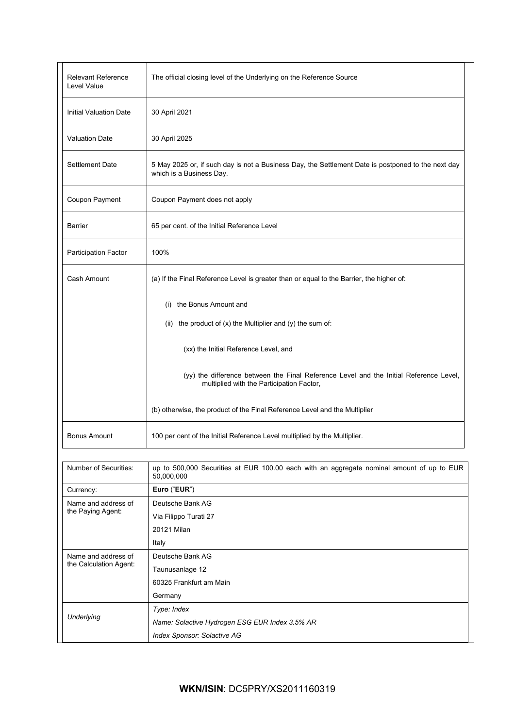| <b>Relevant Reference</b><br>Level Value      | The official closing level of the Underlying on the Reference Source                                                                |
|-----------------------------------------------|-------------------------------------------------------------------------------------------------------------------------------------|
| <b>Initial Valuation Date</b>                 | 30 April 2021                                                                                                                       |
| <b>Valuation Date</b>                         | 30 April 2025                                                                                                                       |
| Settlement Date                               | 5 May 2025 or, if such day is not a Business Day, the Settlement Date is postponed to the next day<br>which is a Business Day.      |
| Coupon Payment                                | Coupon Payment does not apply                                                                                                       |
| <b>Barrier</b>                                | 65 per cent. of the Initial Reference Level                                                                                         |
| Participation Factor                          | 100%                                                                                                                                |
| Cash Amount                                   | (a) If the Final Reference Level is greater than or equal to the Barrier, the higher of:                                            |
|                                               | (i) the Bonus Amount and                                                                                                            |
|                                               | (ii) the product of $(x)$ the Multiplier and $(y)$ the sum of:                                                                      |
|                                               | (xx) the Initial Reference Level, and                                                                                               |
|                                               | (yy) the difference between the Final Reference Level and the Initial Reference Level,<br>multiplied with the Participation Factor, |
|                                               | (b) otherwise, the product of the Final Reference Level and the Multiplier                                                          |
| <b>Bonus Amount</b>                           | 100 per cent of the Initial Reference Level multiplied by the Multiplier.                                                           |
|                                               |                                                                                                                                     |
| Number of Securities:                         | up to 500,000 Securities at EUR 100.00 each with an aggregate nominal amount of up to EUR<br>50,000,000                             |
| Currency:                                     | Euro ("EUR")                                                                                                                        |
| Name and address of<br>the Paying Agent:      | Deutsche Bank AG                                                                                                                    |
|                                               | Via Filippo Turati 27                                                                                                               |
|                                               | 20121 Milan                                                                                                                         |
|                                               | Italy                                                                                                                               |
| Name and address of<br>the Calculation Agent: | Deutsche Bank AG                                                                                                                    |
|                                               | Taunusanlage 12                                                                                                                     |
|                                               | 60325 Frankfurt am Main                                                                                                             |
|                                               | Germany                                                                                                                             |
| Underlying                                    | Type: Index                                                                                                                         |
|                                               | Name: Solactive Hydrogen ESG EUR Index 3.5% AR                                                                                      |
|                                               | Index Sponsor: Solactive AG                                                                                                         |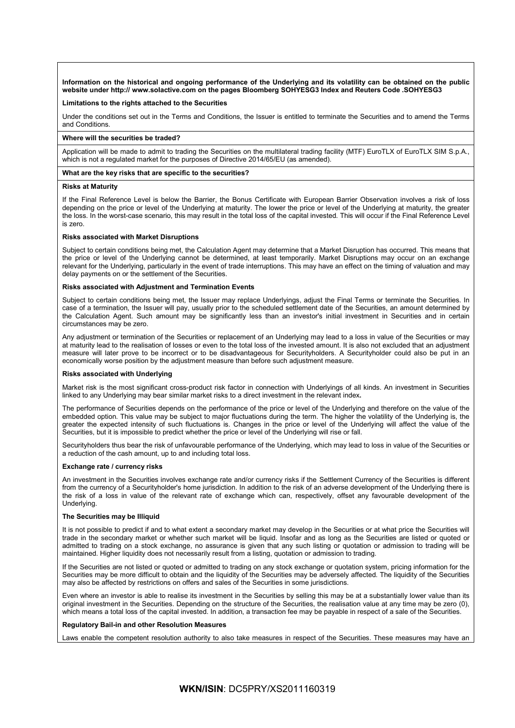**Information on the historical and ongoing performance of the Underlying and its volatility can be obtained on the public website under http:// www.solactive.com on the pages Bloomberg SOHYESG3 Index and Reuters Code .SOHYESG3**

## **Limitations to the rights attached to the Securities**

Under the conditions set out in the Terms and Conditions, the Issuer is entitled to terminate the Securities and to amend the Terms and Conditions.

#### **Where will the securities be traded?**

Application will be made to admit to trading the Securities on the multilateral trading facility (MTF) EuroTLX of EuroTLX SIM S.p.A., which is not a regulated market for the purposes of Directive 2014/65/EU (as amended).

#### **What are the key risks that are specific to the securities?**

#### **Risks at Maturity**

If the Final Reference Level is below the Barrier, the Bonus Certificate with European Barrier Observation involves a risk of loss depending on the price or level of the Underlying at maturity. The lower the price or level of the Underlying at maturity, the greater the loss. In the worst-case scenario, this may result in the total loss of the capital invested. This will occur if the Final Reference Level is zero.

#### **Risks associated with Market Disruptions**

Subject to certain conditions being met, the Calculation Agent may determine that a Market Disruption has occurred. This means that the price or level of the Underlying cannot be determined, at least temporarily. Market Disruptions may occur on an exchange relevant for the Underlying, particularly in the event of trade interruptions. This may have an effect on the timing of valuation and may delay payments on or the settlement of the Securities.

#### **Risks associated with Adjustment and Termination Events**

Subject to certain conditions being met, the Issuer may replace Underlyings, adjust the Final Terms or terminate the Securities. In case of a termination, the Issuer will pay, usually prior to the scheduled settlement date of the Securities, an amount determined by the Calculation Agent. Such amount may be significantly less than an investor's initial investment in Securities and in certain circumstances may be zero.

Any adjustment or termination of the Securities or replacement of an Underlying may lead to a loss in value of the Securities or may at maturity lead to the realisation of losses or even to the total loss of the invested amount. It is also not excluded that an adjustment measure will later prove to be incorrect or to be disadvantageous for Securityholders. A Securityholder could also be put in an economically worse position by the adjustment measure than before such adjustment measure.

# **Risks associated with Underlying**

Market risk is the most significant cross-product risk factor in connection with Underlyings of all kinds. An investment in Securities linked to any Underlying may bear similar market risks to a direct investment in the relevant index**.**

The performance of Securities depends on the performance of the price or level of the Underlying and therefore on the value of the embedded option. This value may be subject to major fluctuations during the term. The higher the volatility of the Underlying is, the greater the expected intensity of such fluctuations is. Changes in the price or level of the Underlying will affect the value of the Securities, but it is impossible to predict whether the price or level of the Underlying will rise or fall.

Securityholders thus bear the risk of unfavourable performance of the Underlying, which may lead to loss in value of the Securities or a reduction of the cash amount, up to and including total loss.

# **Exchange rate / currency risks**

An investment in the Securities involves exchange rate and/or currency risks if the Settlement Currency of the Securities is different from the currency of a Securityholder's home jurisdiction. In addition to the risk of an adverse development of the Underlying there is the risk of a loss in value of the relevant rate of exchange which can, respectively, offset any favourable development of the Underlying.

# **The Securities may be Illiquid**

It is not possible to predict if and to what extent a secondary market may develop in the Securities or at what price the Securities will trade in the secondary market or whether such market will be liquid. Insofar and as long as the Securities are listed or quoted or admitted to trading on a stock exchange, no assurance is given that any such listing or quotation or admission to trading will be maintained. Higher liquidity does not necessarily result from a listing, quotation or admission to trading.

If the Securities are not listed or quoted or admitted to trading on any stock exchange or quotation system, pricing information for the Securities may be more difficult to obtain and the liquidity of the Securities may be adversely affected. The liquidity of the Securities may also be affected by restrictions on offers and sales of the Securities in some jurisdictions.

Even where an investor is able to realise its investment in the Securities by selling this may be at a substantially lower value than its original investment in the Securities. Depending on the structure of the Securities, the realisation value at any time may be zero (0), which means a total loss of the capital invested. In addition, a transaction fee may be payable in respect of a sale of the Securities.

# **Regulatory Bail-in and other Resolution Measures**

Laws enable the competent resolution authority to also take measures in respect of the Securities. These measures may have an